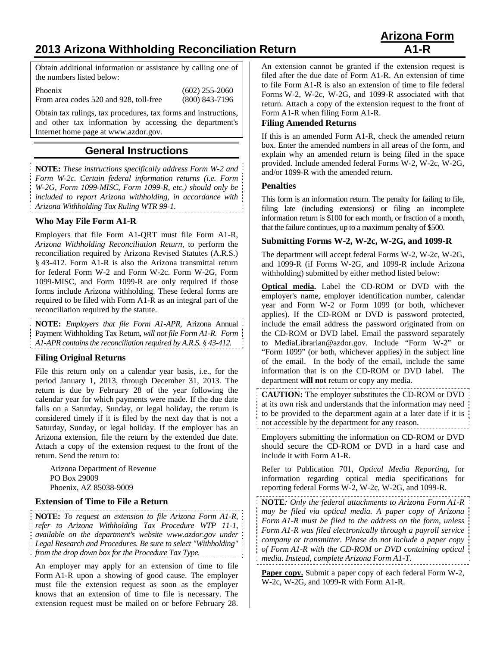# **2013 Arizona Withholding Reconciliation Return A1-R**

Obtain additional information or assistance by calling one of the numbers listed below:

Phoenix (602) 255-2060 From area codes 520 and 928, toll-free (800) 843-7196

Obtain tax rulings, tax procedures, tax forms and instructions, and other tax information by accessing the department's Internet home page at www.azdor.gov.

# **General Instructions**

**NOTE:** *These instructions specifically address Form W-2 and Form W-2c. Certain federal information returns (i.e. Form W-2G, Form 1099-MISC, Form 1099-R, etc.) should only be included to report Arizona withholding, in accordance with Arizona Withholding Tax Ruling WTR 99-1.*

# **Who May File Form A1-R**

Employers that file Form A1-QRT must file Form A1-R, *Arizona Withholding Reconciliation Return*, to perform the reconciliation required by Arizona Revised Statutes (A.R.S.) § 43-412. Form A1-R is also the Arizona transmittal return for federal Form W-2 and Form W-2c. Form W-2G, Form 1099-MISC, and Form 1099-R are only required if those forms include Arizona withholding. These federal forms are required to be filed with Form A1-R as an integral part of the reconciliation required by the statute.

**NOTE:** *Employers that file Form A1-APR,* Arizona Annual Payment Withholding Tax Return*, will not file Form A1-R. Form A1-APR contains the reconciliation required by A.R.S. § 43-412.*

#### **Filing Original Returns**

File this return only on a calendar year basis, i.e., for the period January 1, 2013, through December 31, 2013. The return is due by February 28 of the year following the calendar year for which payments were made. If the due date falls on a Saturday, Sunday, or legal holiday, the return is considered timely if it is filed by the next day that is not a Saturday, Sunday, or legal holiday. If the employer has an Arizona extension, file the return by the extended due date. Attach a copy of the extension request to the front of the return. Send the return to:

Arizona Department of Revenue PO Box 29009 Phoenix, AZ 85038-9009

#### **Extension of Time to File a Return**

**NOTE:** *To request an extension to file Arizona Form A1-R, refer to Arizona Withholding Tax Procedure WTP 11-1, available on the department's website www.azdor.gov under Legal Research and Procedures. Be sure to select "Withholding" from the drop down box for the Procedure Tax Type.* 

An employer may apply for an extension of time to file Form A1-R upon a showing of good cause. The employer must file the extension request as soon as the employer knows that an extension of time to file is necessary. The extension request must be mailed on or before February 28.

An extension cannot be granted if the extension request is filed after the due date of Form A1-R. An extension of time to file Form A1-R is also an extension of time to file federal Forms W-2, W-2c, W-2G, and 1099-R associated with that return. Attach a copy of the extension request to the front of Form A1-R when filing Form A1-R.

### **Filing Amended Returns**

If this is an amended Form A1-R, check the amended return box. Enter the amended numbers in all areas of the form, and explain why an amended return is being filed in the space provided. Include amended federal Forms W-2, W-2c, W-2G, and/or 1099-R with the amended return.

#### **Penalties**

This form is an information return. The penalty for failing to file, filing late (including extensions) or filing an incomplete information return is \$100 for each month, or fraction of a month, that the failure continues, up to a maximum penalty of \$500.

### **Submitting Forms W-2, W-2c, W-2G, and 1099-R**

The department will accept federal Forms W-2, W-2c, W-2G, and 1099-R (if Forms W-2G, and 1099-R include Arizona withholding) submitted by either method listed below:

**Optical media.** Label the CD-ROM or DVD with the employer's name, employer identification number, calendar year and Form W-2 or Form 1099 (or both, whichever applies). If the CD-ROM or DVD is password protected, include the email address the password originated from on the CD-ROM or DVD label. Email the password separately to MediaLibrarian@azdor.gov. Include "Form W-2" or "Form 1099" (or both, whichever applies) in the subject line of the email. In the body of the email, include the same information that is on the CD-ROM or DVD label. The department **will not** return or copy any media.

**CAUTION:** The employer substitutes the CD-ROM or DVD at its own risk and understands that the information may need to be provided to the department again at a later date if it is not accessible by the department for any reason.

Employers submitting the information on CD-ROM or DVD should secure the CD-ROM or DVD in a hard case and include it with Form A1-R.

Refer to Publication 701, *Optical Media Reporting*, for information regarding optical media specifications for reporting federal Forms W-2, W-2c, W-2G, and 1099-R.

**NOTE***: Only the federal attachments to Arizona Form A1-R may be filed via optical media. A paper copy of Arizona Form A1-R must be filed to the address on the form, unless Form A1-R was filed electronically through a payroll service company or transmitter. Please do not include a paper copy of Form A1-R with the CD-ROM or DVD containing optical media. Instead, complete Arizona Form A1*-*T.* 

Paper copy. Submit a paper copy of each federal Form W-2, W-2c, W-2G, and 1099-R with Form A1-R.